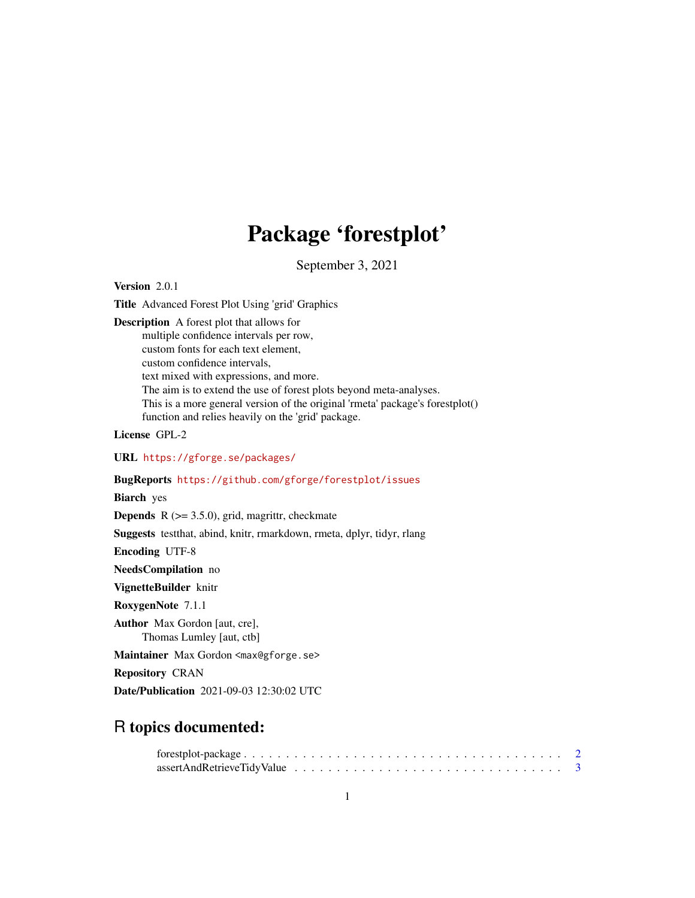# Package 'forestplot'

September 3, 2021

<span id="page-0-0"></span>Version 2.0.1

Title Advanced Forest Plot Using 'grid' Graphics

Description A forest plot that allows for multiple confidence intervals per row, custom fonts for each text element, custom confidence intervals, text mixed with expressions, and more. The aim is to extend the use of forest plots beyond meta-analyses. This is a more general version of the original 'rmeta' package's forestplot() function and relies heavily on the 'grid' package.

License GPL-2

URL <https://gforge.se/packages/>

# BugReports <https://github.com/gforge/forestplot/issues>

Biarch yes

**Depends** R  $(>= 3.5.0)$ , grid, magrittr, checkmate

Suggests testthat, abind, knitr, rmarkdown, rmeta, dplyr, tidyr, rlang

Encoding UTF-8

NeedsCompilation no

VignetteBuilder knitr

RoxygenNote 7.1.1

Author Max Gordon [aut, cre], Thomas Lumley [aut, ctb]

Maintainer Max Gordon <max@gforge.se>

Repository CRAN

Date/Publication 2021-09-03 12:30:02 UTC

# R topics documented: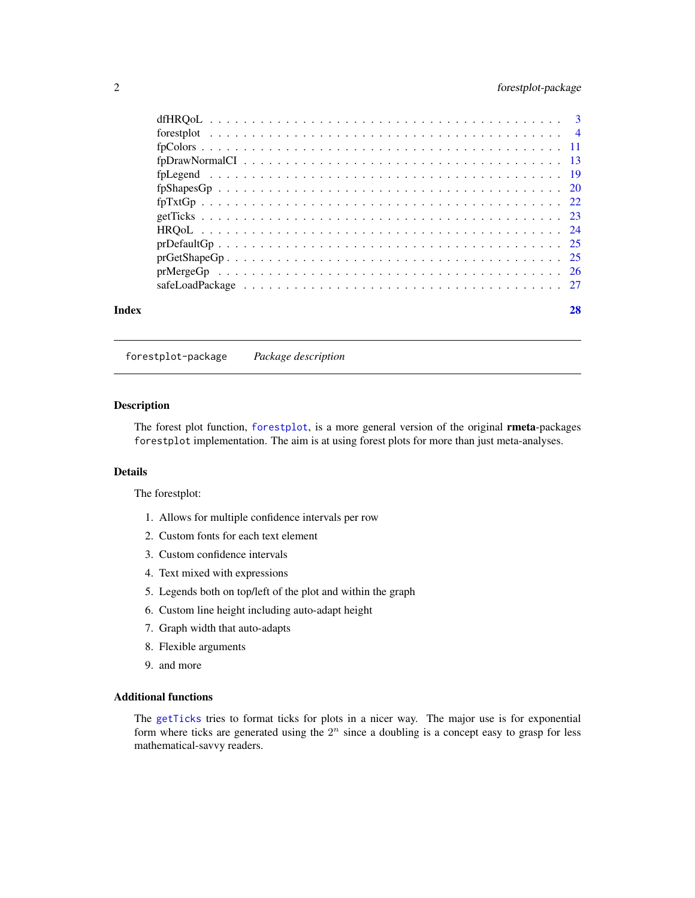# <span id="page-1-0"></span>2 forestplot-package

| Index |                                                                                                                              | 28 |
|-------|------------------------------------------------------------------------------------------------------------------------------|----|
|       |                                                                                                                              |    |
|       |                                                                                                                              |    |
|       |                                                                                                                              |    |
|       |                                                                                                                              |    |
|       |                                                                                                                              |    |
|       |                                                                                                                              |    |
|       | $fpTxtGp 22$                                                                                                                 |    |
|       |                                                                                                                              |    |
|       |                                                                                                                              |    |
|       | $fpDrawNormalCI \dots \dots \dots \dots \dots \dots \dots \dots \dots \dots \dots \dots \dots \dots \dots \dots \dots \dots$ |    |
|       |                                                                                                                              |    |
|       |                                                                                                                              |    |
|       |                                                                                                                              |    |

forestplot-package *Package description*

# Description

The forest plot function, [forestplot](#page-3-1), is a more general version of the original rmeta-packages forestplot implementation. The aim is at using forest plots for more than just meta-analyses.

#### Details

The forestplot:

- 1. Allows for multiple confidence intervals per row
- 2. Custom fonts for each text element
- 3. Custom confidence intervals
- 4. Text mixed with expressions
- 5. Legends both on top/left of the plot and within the graph
- 6. Custom line height including auto-adapt height
- 7. Graph width that auto-adapts
- 8. Flexible arguments
- 9. and more

#### Additional functions

The [getTicks](#page-22-1) tries to format ticks for plots in a nicer way. The major use is for exponential form where ticks are generated using the  $2<sup>n</sup>$  since a doubling is a concept easy to grasp for less mathematical-savvy readers.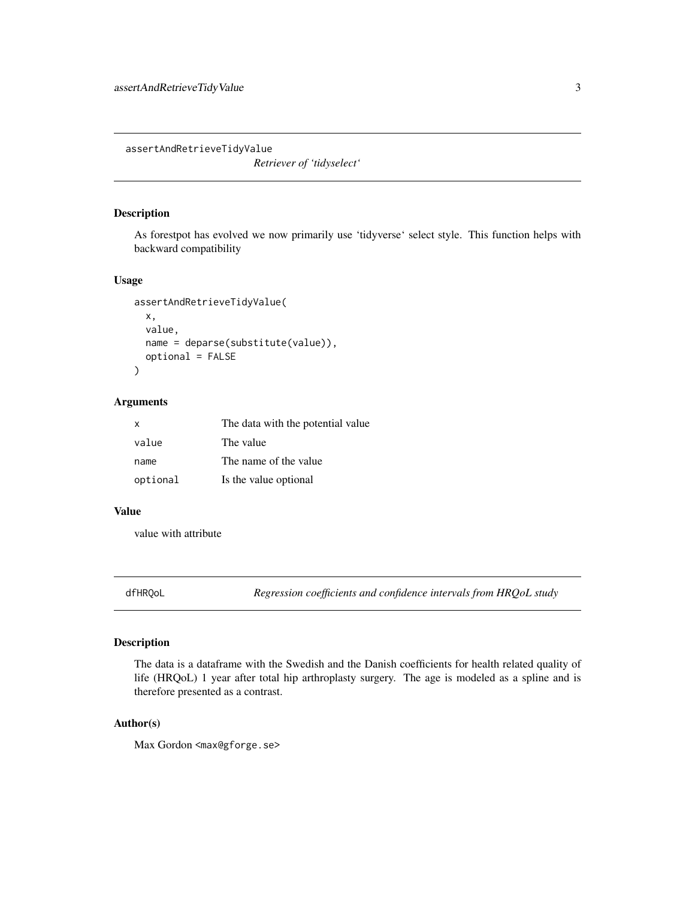<span id="page-2-0"></span>assertAndRetrieveTidyValue

*Retriever of 'tidyselect'*

# Description

As forestpot has evolved we now primarily use 'tidyverse' select style. This function helps with backward compatibility

# Usage

```
assertAndRetrieveTidyValue(
  x,
  value,
 name = deparse(substitute(value)),
  optional = FALSE
)
```
# Arguments

| $\mathsf{X}$ | The data with the potential value |
|--------------|-----------------------------------|
| value        | The value                         |
| name         | The name of the value             |
| optional     | Is the value optional             |

#### Value

value with attribute

dfHRQoL *Regression coefficients and confidence intervals from HRQoL study*

# Description

The data is a dataframe with the Swedish and the Danish coefficients for health related quality of life (HRQoL) 1 year after total hip arthroplasty surgery. The age is modeled as a spline and is therefore presented as a contrast.

#### Author(s)

Max Gordon <max@gforge.se>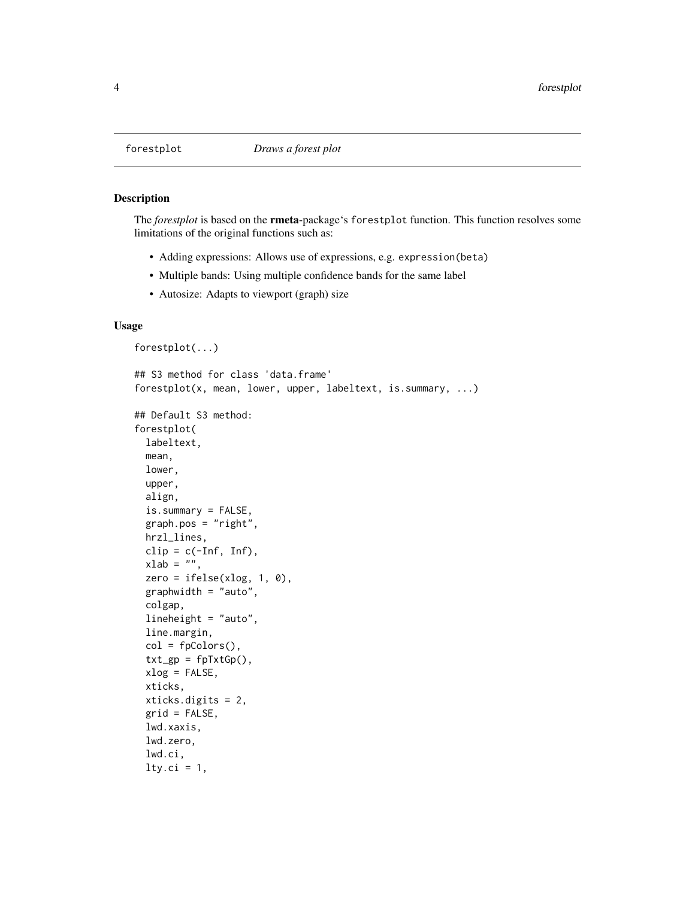<span id="page-3-1"></span><span id="page-3-0"></span>

#### Description

The *forestplot* is based on the rmeta-package's forestplot function. This function resolves some limitations of the original functions such as:

- Adding expressions: Allows use of expressions, e.g. expression(beta)
- Multiple bands: Using multiple confidence bands for the same label
- Autosize: Adapts to viewport (graph) size

### Usage

```
forestplot(...)
## S3 method for class 'data.frame'
forestplot(x, mean, lower, upper, labeltext, is.summary, ...)
## Default S3 method:
forestplot(
  labeltext,
 mean,
 lower,
 upper,
  align,
  is.summary = FALSE,
  graph.pos = "right",hrzl_lines,
  clip = c(-Inf, Inf),xlab = ",
  zero = ifelse(xlog, 1, 0),
  graphwidth = "auto",
  colgap,
  lineheight = "auto",
  line.margin,
  col = fpColors(),
  txt_sp = fpTxtGp(),
  xlog = FALSE,
 xticks,
  xticks.digits = 2,
  grid = FALSE,
  lwd.xaxis,
  lwd.zero,
  lwd.ci,
  lty.ci = 1,
```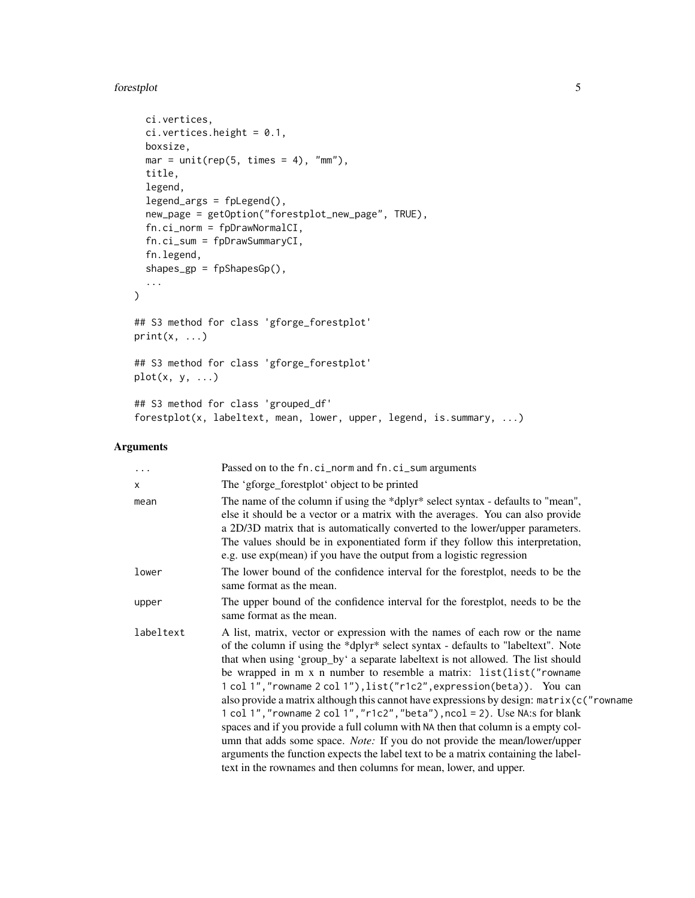#### forestplot 5

```
ci.vertices,
 ci.vertices. height = 0.1,boxsize,
 mar = unit(rep(5, times = 4), "mm"),
 title,
 legend,
 legend_args = fpLegend(),
 new_page = getOption("forestplot_new_page", TRUE),
 fn.ci_norm = fpDrawNormalCI,
 fn.ci_sum = fpDrawSummaryCI,
 fn.legend,
 shapes_gp = fpShapesGp(),
  ...
)
## S3 method for class 'gforge_forestplot'
print(x, \ldots)## S3 method for class 'gforge_forestplot'
plot(x, y, ...)## S3 method for class 'grouped_df'
forestplot(x, labeltext, mean, lower, upper, legend, is.summary, ...)
```
# Arguments

| $\cdots$  | Passed on to the fn.ci_norm and fn.ci_sum arguments                                                                                                                                                                                                                                                                                                                                                                                                                                                                                                                                                                                                                                                                                                                                                                                                                                                                  |
|-----------|----------------------------------------------------------------------------------------------------------------------------------------------------------------------------------------------------------------------------------------------------------------------------------------------------------------------------------------------------------------------------------------------------------------------------------------------------------------------------------------------------------------------------------------------------------------------------------------------------------------------------------------------------------------------------------------------------------------------------------------------------------------------------------------------------------------------------------------------------------------------------------------------------------------------|
| $\times$  | The 'gforge_forestplot' object to be printed                                                                                                                                                                                                                                                                                                                                                                                                                                                                                                                                                                                                                                                                                                                                                                                                                                                                         |
| mean      | The name of the column if using the *dplyr* select syntax - defaults to "mean",<br>else it should be a vector or a matrix with the averages. You can also provide<br>a 2D/3D matrix that is automatically converted to the lower/upper parameters.<br>The values should be in exponentiated form if they follow this interpretation,<br>e.g. use exp(mean) if you have the output from a logistic regression                                                                                                                                                                                                                                                                                                                                                                                                                                                                                                         |
| lower     | The lower bound of the confidence interval for the forestplot, needs to be the<br>same format as the mean.                                                                                                                                                                                                                                                                                                                                                                                                                                                                                                                                                                                                                                                                                                                                                                                                           |
| upper     | The upper bound of the confidence interval for the forestplot, needs to be the<br>same format as the mean.                                                                                                                                                                                                                                                                                                                                                                                                                                                                                                                                                                                                                                                                                                                                                                                                           |
| labeltext | A list, matrix, vector or expression with the names of each row or the name<br>of the column if using the *dplyr* select syntax - defaults to "labeltext". Note<br>that when using 'group_by' a separate labeltext is not allowed. The list should<br>be wrapped in m x n number to resemble a matrix: list(list("rowname<br>1 col 1", "rowname 2 col 1"), list("r1c2", expression(beta)). You can<br>also provide a matrix although this cannot have expressions by design: $matrix(c("rowname$<br>1 col 1", "rowname 2 col 1", "r1c2", "beta"), ncol = 2). Use NA:s for blank<br>spaces and if you provide a full column with NA then that column is a empty col-<br>umn that adds some space. <i>Note</i> : If you do not provide the mean/lower/upper<br>arguments the function expects the label text to be a matrix containing the label-<br>text in the rownames and then columns for mean, lower, and upper. |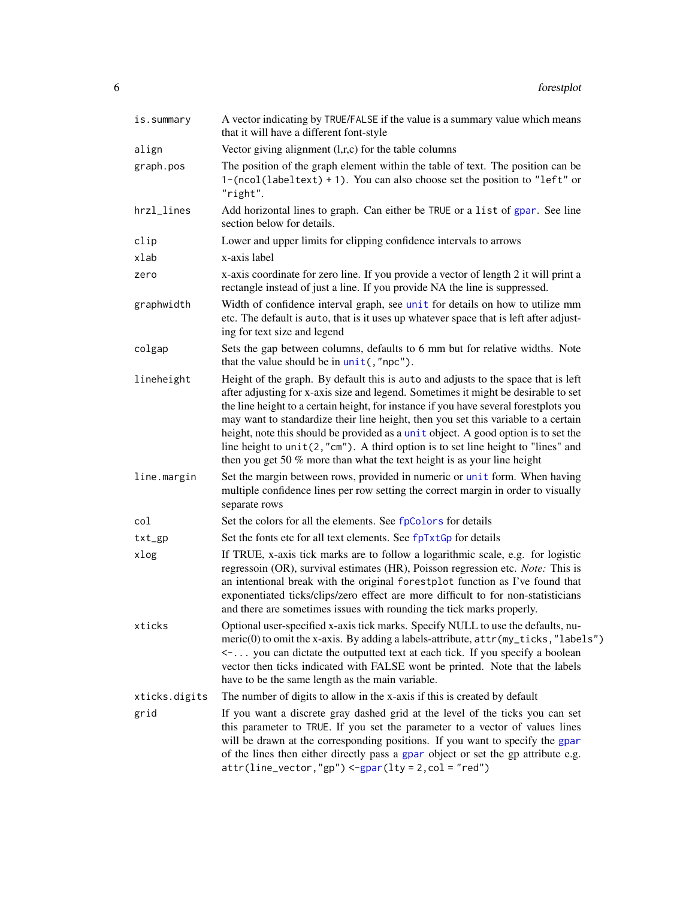<span id="page-5-0"></span>

| is.summary    | A vector indicating by TRUE/FALSE if the value is a summary value which means<br>that it will have a different font-style                                                                                                                                                                                                                                                                                                                                                                                                                                                                                          |
|---------------|--------------------------------------------------------------------------------------------------------------------------------------------------------------------------------------------------------------------------------------------------------------------------------------------------------------------------------------------------------------------------------------------------------------------------------------------------------------------------------------------------------------------------------------------------------------------------------------------------------------------|
| align         | Vector giving alignment $(l,r,c)$ for the table columns                                                                                                                                                                                                                                                                                                                                                                                                                                                                                                                                                            |
| graph.pos     | The position of the graph element within the table of text. The position can be<br>$1-(\text{ncol}(\text{labeltext}) + 1)$ . You can also choose set the position to "left" or<br>"right".                                                                                                                                                                                                                                                                                                                                                                                                                         |
| hrzl_lines    | Add horizontal lines to graph. Can either be TRUE or a list of gpar. See line<br>section below for details.                                                                                                                                                                                                                                                                                                                                                                                                                                                                                                        |
| clip          | Lower and upper limits for clipping confidence intervals to arrows                                                                                                                                                                                                                                                                                                                                                                                                                                                                                                                                                 |
| xlab          | x-axis label                                                                                                                                                                                                                                                                                                                                                                                                                                                                                                                                                                                                       |
| zero          | x-axis coordinate for zero line. If you provide a vector of length 2 it will print a<br>rectangle instead of just a line. If you provide NA the line is suppressed.                                                                                                                                                                                                                                                                                                                                                                                                                                                |
| graphwidth    | Width of confidence interval graph, see unit for details on how to utilize mm<br>etc. The default is auto, that is it uses up whatever space that is left after adjust-<br>ing for text size and legend                                                                                                                                                                                                                                                                                                                                                                                                            |
| colgap        | Sets the gap between columns, defaults to 6 mm but for relative widths. Note<br>that the value should be in unit(,"npc").                                                                                                                                                                                                                                                                                                                                                                                                                                                                                          |
| lineheight    | Height of the graph. By default this is auto and adjusts to the space that is left<br>after adjusting for x-axis size and legend. Sometimes it might be desirable to set<br>the line height to a certain height, for instance if you have several forestplots you<br>may want to standardize their line height, then you set this variable to a certain<br>height, note this should be provided as a unit object. A good option is to set the<br>line height to $unit(2, "cm")$ . A third option is to set line height to "lines" and<br>then you get 50 $%$ more than what the text height is as your line height |
| line.margin   | Set the margin between rows, provided in numeric or unit form. When having<br>multiple confidence lines per row setting the correct margin in order to visually<br>separate rows                                                                                                                                                                                                                                                                                                                                                                                                                                   |
| col           | Set the colors for all the elements. See fpColors for details                                                                                                                                                                                                                                                                                                                                                                                                                                                                                                                                                      |
| $txt_sp$      | Set the fonts etc for all text elements. See fpTxtGp for details                                                                                                                                                                                                                                                                                                                                                                                                                                                                                                                                                   |
| xlog          | If TRUE, x-axis tick marks are to follow a logarithmic scale, e.g. for logistic<br>regressoin (OR), survival estimates (HR), Poisson regression etc. Note: This is<br>an intentional break with the original forestplot function as I've found that<br>exponentiated ticks/clips/zero effect are more difficult to for non-statisticians<br>and there are sometimes issues with rounding the tick marks properly.                                                                                                                                                                                                  |
| xticks        | Optional user-specified x-axis tick marks. Specify NULL to use the defaults, nu-<br>meric(0) to omit the x-axis. By adding a labels-attribute, attr(my_ticks,"labels")<br><- you can dictate the outputted text at each tick. If you specify a boolean<br>vector then ticks indicated with FALSE wont be printed. Note that the labels<br>have to be the same length as the main variable.                                                                                                                                                                                                                         |
| xticks.digits | The number of digits to allow in the x-axis if this is created by default                                                                                                                                                                                                                                                                                                                                                                                                                                                                                                                                          |
| grid          | If you want a discrete gray dashed grid at the level of the ticks you can set<br>this parameter to TRUE. If you set the parameter to a vector of values lines<br>will be drawn at the corresponding positions. If you want to specify the gpar<br>of the lines then either directly pass a gpar object or set the gp attribute e.g.<br>$attr(line\_vector, "gp") < -gpar(lty = 2, col = "red")$                                                                                                                                                                                                                    |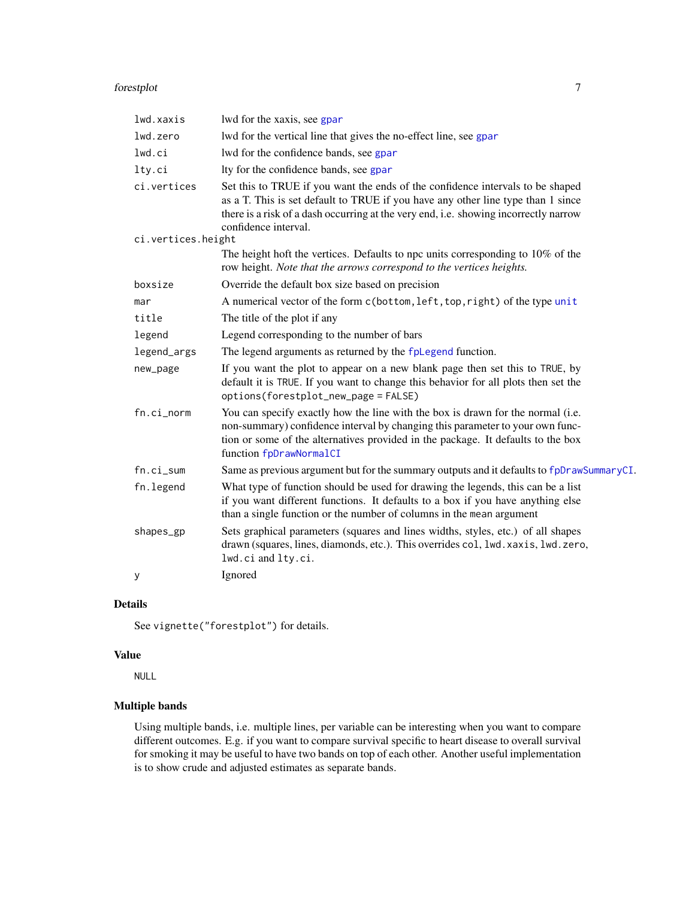#### <span id="page-6-0"></span>forestplot 7

| lwd.xaxis          | lwd for the xaxis, see gpar                                                                                                                                                                                                                                                        |
|--------------------|------------------------------------------------------------------------------------------------------------------------------------------------------------------------------------------------------------------------------------------------------------------------------------|
| lwd.zero           | lwd for the vertical line that gives the no-effect line, see gpar                                                                                                                                                                                                                  |
| lwd.ci             | lwd for the confidence bands, see gpar                                                                                                                                                                                                                                             |
| lty.ci             | Ity for the confidence bands, see gpar                                                                                                                                                                                                                                             |
| ci.vertices        | Set this to TRUE if you want the ends of the confidence intervals to be shaped<br>as a T. This is set default to TRUE if you have any other line type than 1 since<br>there is a risk of a dash occurring at the very end, i.e. showing incorrectly narrow<br>confidence interval. |
| ci.vertices.height |                                                                                                                                                                                                                                                                                    |
|                    | The height hoft the vertices. Defaults to npc units corresponding to 10% of the<br>row height. Note that the arrows correspond to the vertices heights.                                                                                                                            |
| boxsize            | Override the default box size based on precision                                                                                                                                                                                                                                   |
| mar                | A numerical vector of the form c(bottom, left, top, right) of the type unit                                                                                                                                                                                                        |
| title              | The title of the plot if any                                                                                                                                                                                                                                                       |
| legend             | Legend corresponding to the number of bars                                                                                                                                                                                                                                         |
| legend_args        | The legend arguments as returned by the fpLegend function.                                                                                                                                                                                                                         |
| new_page           | If you want the plot to appear on a new blank page then set this to TRUE, by<br>default it is TRUE. If you want to change this behavior for all plots then set the<br>options(forestplot_new_page = FALSE)                                                                         |
| fn.ci_norm         | You can specify exactly how the line with the box is drawn for the normal (i.e.<br>non-summary) confidence interval by changing this parameter to your own func-<br>tion or some of the alternatives provided in the package. It defaults to the box<br>function fpDrawNormalCI    |
| fn.ci_sum          | Same as previous argument but for the summary outputs and it defaults to fpDrawSummaryCI.                                                                                                                                                                                          |
| fn.legend          | What type of function should be used for drawing the legends, this can be a list<br>if you want different functions. It defaults to a box if you have anything else<br>than a single function or the number of columns in the mean argument                                        |
| shapes_gp          | Sets graphical parameters (squares and lines widths, styles, etc.) of all shapes<br>drawn (squares, lines, diamonds, etc.). This overrides col, lwd. xaxis, lwd. zero,<br>lwd.ci and lty.ci.                                                                                       |
| У                  | Ignored                                                                                                                                                                                                                                                                            |
|                    |                                                                                                                                                                                                                                                                                    |

# Details

See vignette("forestplot") for details.

# Value

NULL

# Multiple bands

Using multiple bands, i.e. multiple lines, per variable can be interesting when you want to compare different outcomes. E.g. if you want to compare survival specific to heart disease to overall survival for smoking it may be useful to have two bands on top of each other. Another useful implementation is to show crude and adjusted estimates as separate bands.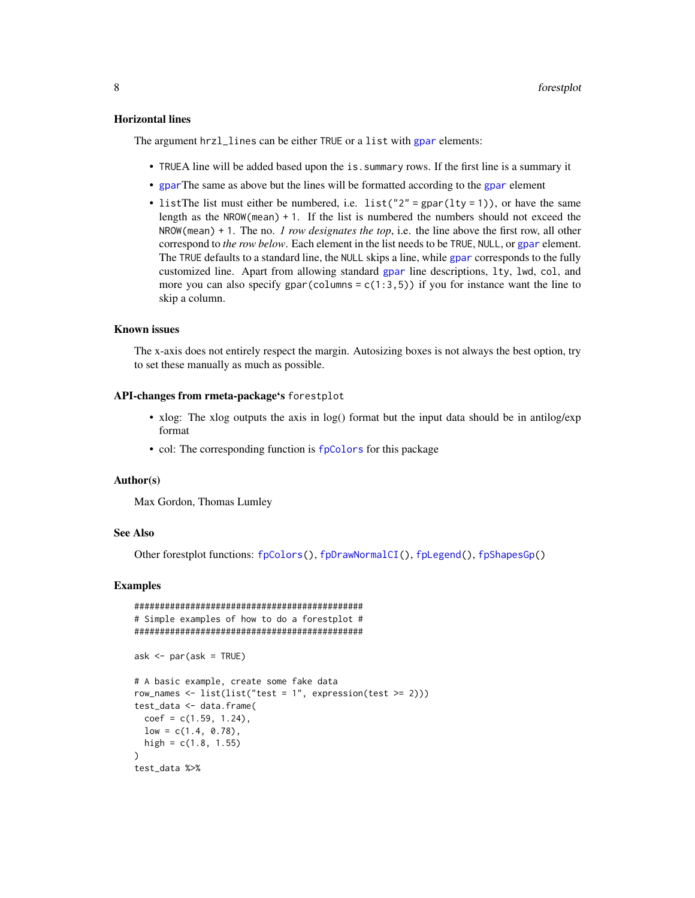#### <span id="page-7-0"></span>Horizontal lines

The argument hrzl\_lines can be either TRUE or a list with [gpar](#page-0-0) elements:

- TRUEA line will be added based upon the is.summary rows. If the first line is a summary it
- [gpar](#page-0-0)The same as above but the lines will be formatted according to the [gpar](#page-0-0) element
- listThe list must either be numbered, i.e. list( $"2" = gpar(lty = 1)$ ), or have the same length as the  $NROW(mean) + 1$ . If the list is numbered the numbers should not exceed the NROW(mean) + 1. The no. *1 row designates the top*, i.e. the line above the first row, all other correspond to *the row below*. Each element in the list needs to be TRUE, NULL, or [gpar](#page-0-0) element. The TRUE defaults to a standard line, the NULL skips a line, while [gpar](#page-0-0) corresponds to the fully customized line. Apart from allowing standard [gpar](#page-0-0) line descriptions, lty, lwd, col, and more you can also specify gpar(columns =  $c(1:3,5)$ ) if you for instance want the line to skip a column.

# Known issues

The x-axis does not entirely respect the margin. Autosizing boxes is not always the best option, try to set these manually as much as possible.

#### API-changes from rmeta-package's forestplot

- xlog: The xlog outputs the axis in log() format but the input data should be in antilog/exp format
- col: The corresponding function is [fpColors](#page-10-1) for this package

#### Author(s)

Max Gordon, Thomas Lumley

#### See Also

Other forestplot functions: [fpColors\(](#page-10-1)), [fpDrawNormalCI\(](#page-12-1)), [fpLegend\(](#page-18-1)), [fpShapesGp\(](#page-19-1))

#### Examples

```
#############################################
# Simple examples of how to do a forestplot #
#############################################
ask \leq par(ask = TRUE)
# A basic example, create some fake data
row_names <- list(list("test = 1", expression(test >= 2)))
test_data <- data.frame(
 coef = c(1.59, 1.24),
 low = c(1.4, 0.78),
 high = c(1.8, 1.55)\lambdatest_data %>%
```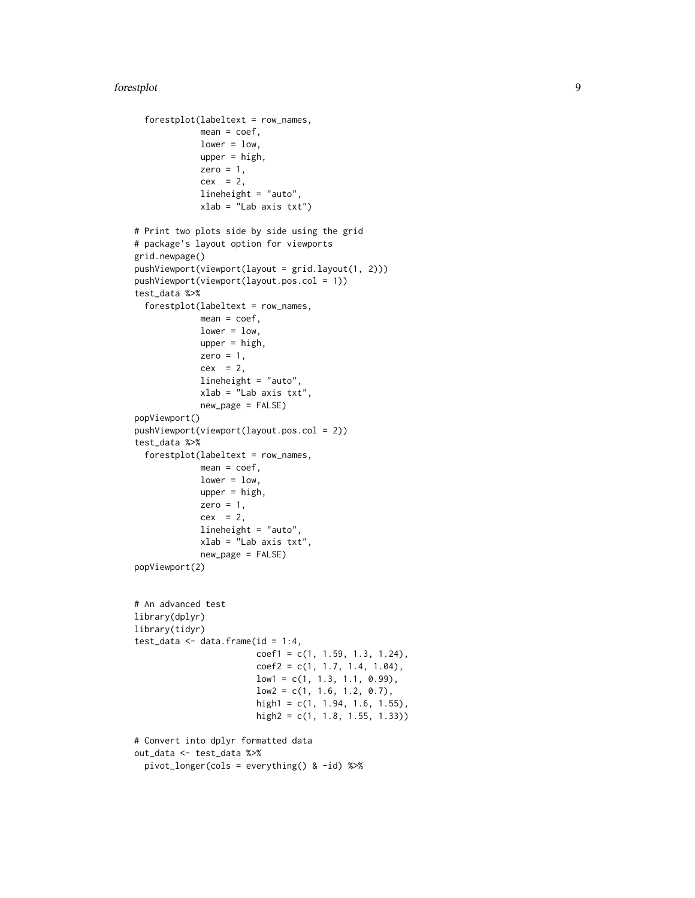#### forestplot 9

```
forestplot(labeltext = row_names,
            mean = coef,lower = low,upper = high,zero = 1,
             cex = 2,
             lineheight = "auto",
             xlab = "Lab axis txt")
# Print two plots side by side using the grid
# package's layout option for viewports
grid.newpage()
pushViewport(viewport(layout = grid.layout(1, 2)))
pushViewport(viewport(layout.pos.col = 1))
test_data %>%
 forestplot(labeltext = row_names,
            mean = coef,lower = low,
            upper = high,zero = 1,
             cex = 2,
             lineheight = "auto",
            xlab = "Lab axis txt",
             new_page = FALSE)
popViewport()
pushViewport(viewport(layout.pos.col = 2))
test_data %>%
 forestplot(labeltext = row_names,
            mean = coef,lower = low,
            upper = high,
             zero = 1,
             cex = 2,
             lineheight = "auto",
             xlab = "Lab axis txt",
             new_page = FALSE)
popViewport(2)
# An advanced test
library(dplyr)
library(tidyr)
test_data <- data.frame(id = 1:4,
                        coef1 = c(1, 1.59, 1.3, 1.24),
                        coef2 = c(1, 1.7, 1.4, 1.04),low1 = c(1, 1.3, 1.1, 0.99),
                        low2 = c(1, 1.6, 1.2, 0.7),
                        high1 = c(1, 1.94, 1.6, 1.55),
                        high2 = c(1, 1.8, 1.55, 1.33))
# Convert into dplyr formatted data
out_data <- test_data %>%
 pivot_longer(cols = everything() & -id) %>%
```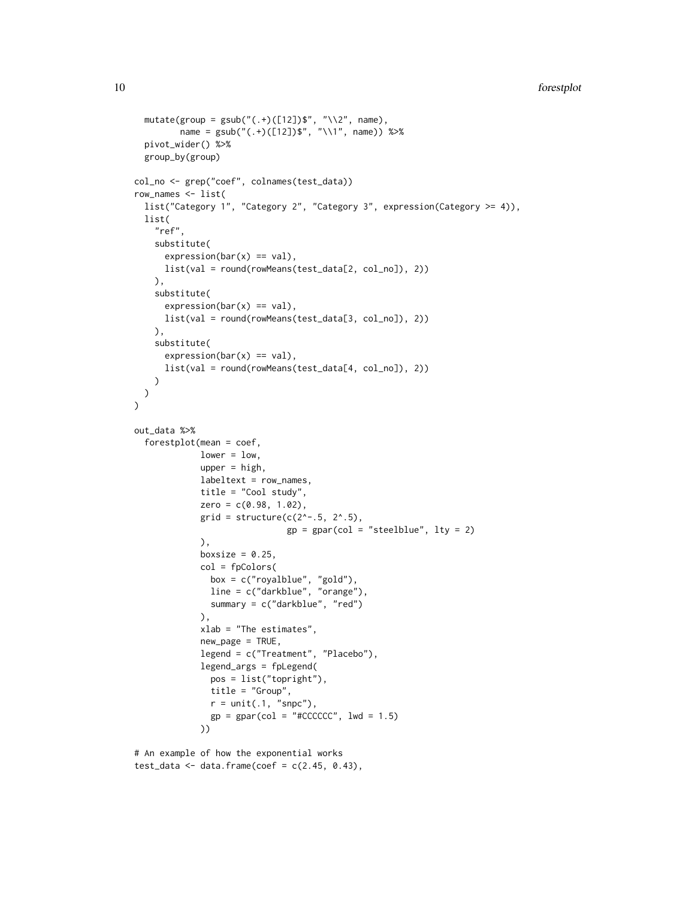```
mutate(group = gsub("(.+)([12])$", "\\2", name),
         name = gsub("(.+)([12])$", "\\1", name)) %>%
  pivot_wider() %>%
  group_by(group)
col_no <- grep("coef", colnames(test_data))
row_names <- list(
  list("Category 1", "Category 2", "Category 3", expression(Category >= 4)),
  list(
    "ref",
    substitute(
      expression(bar(x) == val),
      list(val = round(rowMeans(test_data[2, col_no]), 2))
   ),
    substitute(
      expression(bar(x) == val),
      list(val = round(rowMeans(test_data[3, col_no]), 2))
   ),
    substitute(
      expression(bar(x) == val),
      list(val = round(rowMeans(test_data[4, col_no]), 2))
   \lambda)
\mathcal{L}out_data %>%
  forestplot(mean = coef,
             lower = low,upper = high,
             labeltext = row_names,
             title = "Cool study",
             zero = c(0.98, 1.02),
             grid = structure(c(2^*-.5, 2^*..5),
                              gp = gpar(col = "steelblue", lty = 2)),
             boxsize = 0.25,
             col = fpColors(
               box = c("royalblue", "gold"),
               line = c("darkblue", "orange"),
               summary = c("darkblue", "red")
             ),
             xlab = "The estimates",
             new_page = TRUE,
             legend = c("Treatment", "Placebo"),
             legend_args = fpLegend(
               pos = list("topright"),
               title = "Group",
               r = unit(.1, "s npc"),gp = gpar(col = "#CCCCCC", lwd = 1.5)))
```

```
# An example of how the exponential works
test_data <- data.frame(coef = c(2.45, 0.43),
```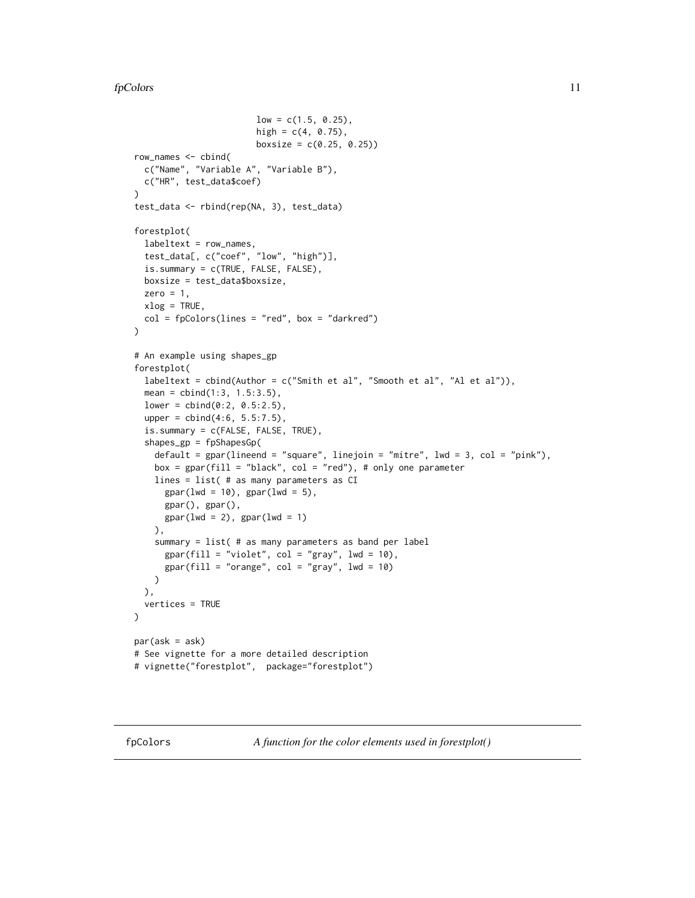```
low = c(1.5, 0.25),
                        high = c(4, 0.75),
                        boxsize = c(0.25, 0.25)row_names <- cbind(
  c("Name", "Variable A", "Variable B"),
  c("HR", test_data$coef)
\lambdatest_data <- rbind(rep(NA, 3), test_data)
forestplot(
  labeltext = row_names,
  test_data[, c("coef", "low", "high")],
  is.summary = c(TRUE, FALSE, FALSE),
  boxsize = test_data$boxsize,
  zero = 1,
  xlog = TRUE,
  col = fpColors(lines = "red", box = "darkred"))
# An example using shapes_gp
forestplot(
  labeltext = cbind(Author = c("Smith et al", "Smooth et al", "Al et al")),
  mean = cbind(1:3, 1.5:3.5),
  lower = child(0:2, 0.5:2.5),
  upper = cbind(4:6, 5.5:7.5),
  is.summary = c(FALSE, FALSE, TRUE),
  shapes_gp = fpShapesGp(
   default = gpar(lineend = "square", linejoin = "mitre", lwd = 3, col = "pink"),
   box = gpar(fill = "black", col = "red"), # only one parameterlines = list( # as many parameters as CI
      gpar(lwd = 10), gpar(lwd = 5),
     gpar(), gpar(),
     gpar(lwd = 2), gpar(lwd = 1)),
    summary = list( # as many parameters as band per label
      gpar(fill = "violet", col = "gray", lw = 10),gpar(fill = "orange", col = "gray", lw = 10))
  ),
  vertices = TRUE
\mathcal{L}par(ask = ask)# See vignette for a more detailed description
# vignette("forestplot", package="forestplot")
```
<span id="page-10-1"></span>fpColors *A function for the color elements used in forestplot()*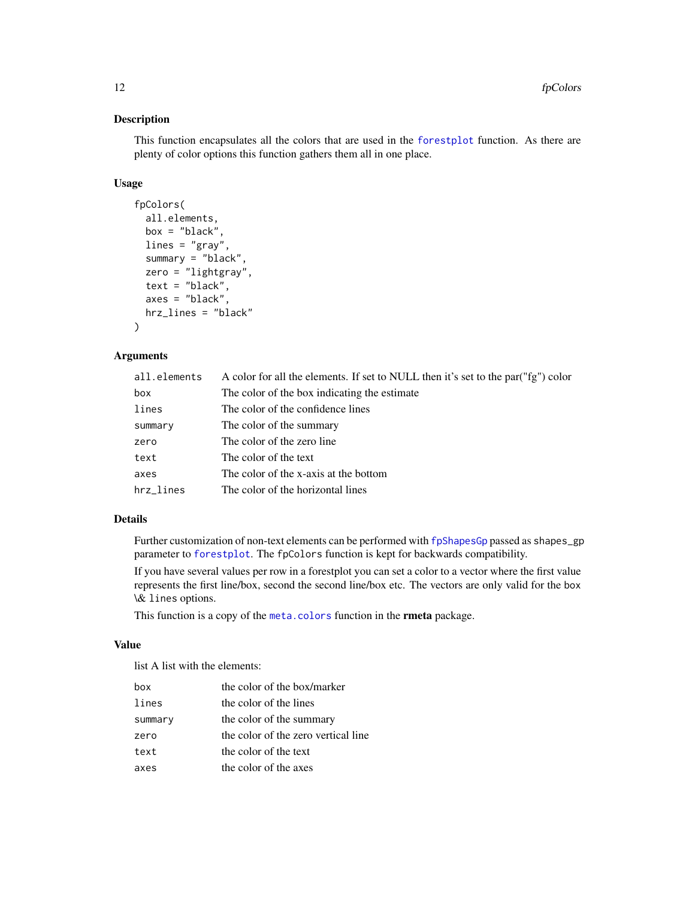# Description

This function encapsulates all the colors that are used in the [forestplot](#page-3-1) function. As there are plenty of color options this function gathers them all in one place.

#### Usage

```
fpColors(
  all.elements,
  box = "black",lines = "gray",summary = "black",
  zero = "lightgray",
  text = "black",axes = "black",
  hrz_lines = "black"
\lambda
```
# Arguments

| all.elements | A color for all the elements. If set to NULL then it's set to the par("fg") color |
|--------------|-----------------------------------------------------------------------------------|
| box          | The color of the box indicating the estimate                                      |
| lines        | The color of the confidence lines                                                 |
| summary      | The color of the summary                                                          |
| zero         | The color of the zero line                                                        |
| text         | The color of the text                                                             |
| axes         | The color of the x-axis at the bottom                                             |
| hrz_lines    | The color of the horizontal lines                                                 |

# Details

Further customization of non-text elements can be performed with [fpShapesGp](#page-19-1) passed as shapes\_gp parameter to [forestplot](#page-3-1). The fpColors function is kept for backwards compatibility.

If you have several values per row in a forestplot you can set a color to a vector where the first value represents the first line/box, second the second line/box etc. The vectors are only valid for the box \& lines options.

This function is a copy of the [meta.colors](#page-0-0) function in the **rmeta** package.

## Value

list A list with the elements:

| box     | the color of the box/marker         |
|---------|-------------------------------------|
| lines   | the color of the lines              |
| summary | the color of the summary            |
| zero    | the color of the zero vertical line |
| text    | the color of the text               |
| axes    | the color of the axes               |

<span id="page-11-0"></span>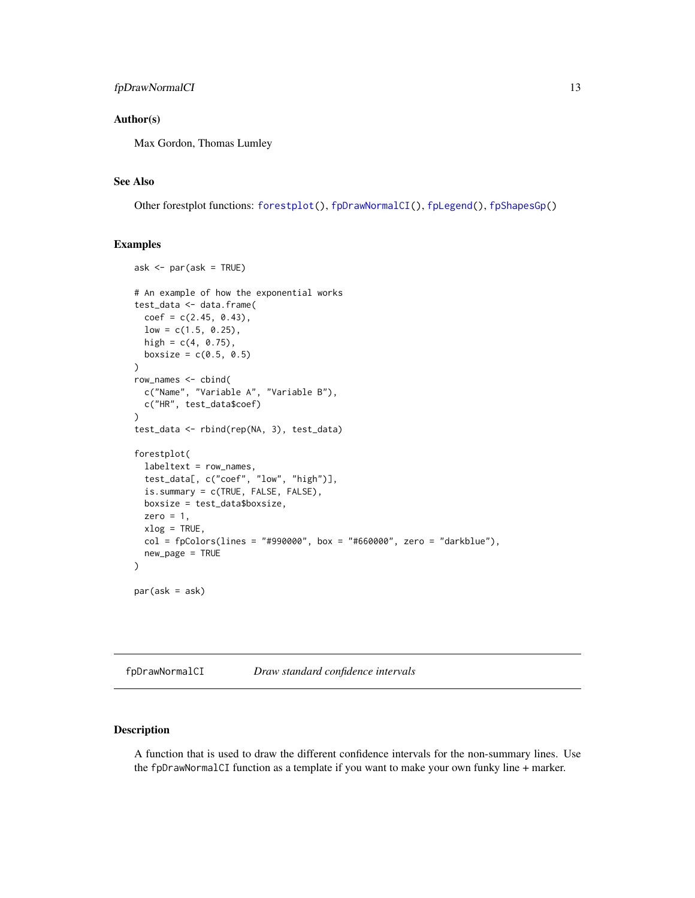### <span id="page-12-0"></span>Author(s)

Max Gordon, Thomas Lumley

### See Also

Other forestplot functions: [forestplot\(](#page-3-1)), [fpDrawNormalCI\(](#page-12-1)), [fpLegend\(](#page-18-1)), [fpShapesGp\(](#page-19-1))

#### Examples

```
ask <- par(ask = TRUE)
# An example of how the exponential works
test_data <- data.frame(
  coef = c(2.45, 0.43),
  low = c(1.5, 0.25),
  high = c(4, 0.75),
  boxsize = c(0.5, 0.5))
row_names <- cbind(
  c("Name", "Variable A", "Variable B"),
  c("HR", test_data$coef)
\lambdatest_data <- rbind(rep(NA, 3), test_data)
forestplot(
  labeltext = row_names,
  test_data[, c("coef", "low", "high")],
  is.summary = c(TRUE, FALSE, FALSE),
  boxsize = test_data$boxsize,
  zero = 1,
  xlog = TRUE,
  col = fpColors(lines = "#990000", box = "#660000", zero = "darkblue")new_page = TRUE
)
par(ask = ask)
```
<span id="page-12-1"></span>fpDrawNormalCI *Draw standard confidence intervals*

# <span id="page-12-2"></span>Description

A function that is used to draw the different confidence intervals for the non-summary lines. Use the fpDrawNormalCI function as a template if you want to make your own funky line + marker.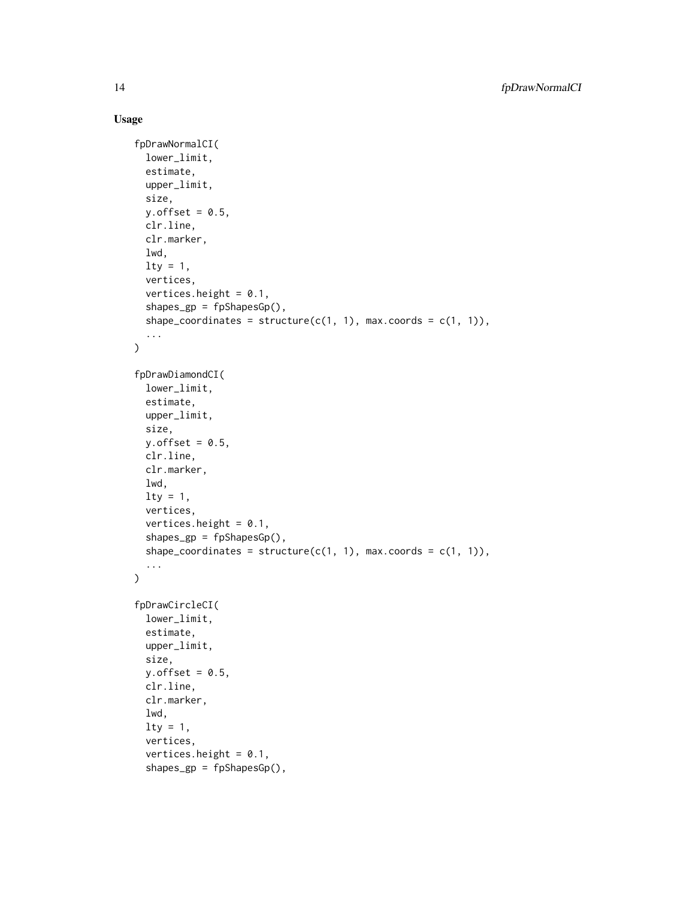# Usage

```
fpDrawNormalCI(
  lower_limit,
  estimate,
  upper_limit,
  size,
 y.offset = 0.5,
 clr.line,
  clr.marker,
  lwd,
  lty = 1,
  vertices,
  vertices.height = 0.1,
  shapes_gp = fpShapesGp(),
  shape_coordinates = structure(c(1, 1), max.coords = c(1, 1)),
  ...
)
fpDrawDiamondCI(
  lower_limit,
  estimate,
  upper_limit,
  size,
  y.offset = 0.5,
 clr.line,
 clr.marker,
  lwd,
  lty = 1,
  vertices,
  vertices.height = 0.1,
  shapes_gp = fpShapesGp(),
  shape_coordinates = structure(c(1, 1), max.coords = c(1, 1)),
  ...
\mathcal{L}fpDrawCircleCI(
  lower_limit,
  estimate,
  upper_limit,
  size,
 y.offset = 0.5,
 clr.line,
  clr.marker,
  lwd,
  lty = 1,
  vertices,
  vertices.height = 0.1,
  shapes_gp = fpShapesGp(),
```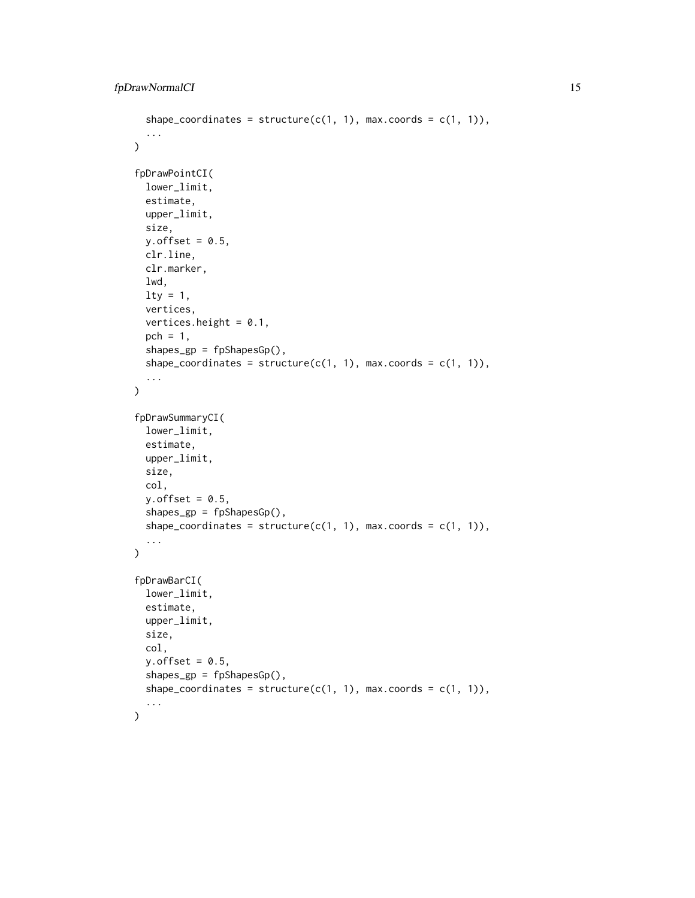```
shape_coordinates = structure(c(1, 1), max.coords = c(1, 1)),
  ...
\lambdafpDrawPointCI(
  lower_limit,
  estimate,
 upper_limit,
  size,
 y.offset = 0.5,
 clr.line,
 clr.marker,
 lwd,
  lty = 1,
  vertices,
  vertices.height = 0.1,
 pch = 1,
  shapes_gp = fpShapesGp(),
  shape_coordinates = structure(c(1, 1), max.coords = c(1, 1)),
  ...
\mathcal{L}fpDrawSummaryCI(
  lower_limit,
  estimate,
 upper_limit,
  size,
  col,
 y.offset = 0.5,
  shapes_gp = fpShapesGp(),
  shape_coordinates = structure(c(1, 1), max.coords = c(1, 1)),
  ...
\mathcal{L}fpDrawBarCI(
  lower_limit,
  estimate,
 upper_limit,
  size,
  col,
 y.offset = 0.5,
  shapes_gp = fpShapesGp(),
  shape_coordinates = structure(c(1, 1), max.coords = c(1, 1)),
  ...
)
```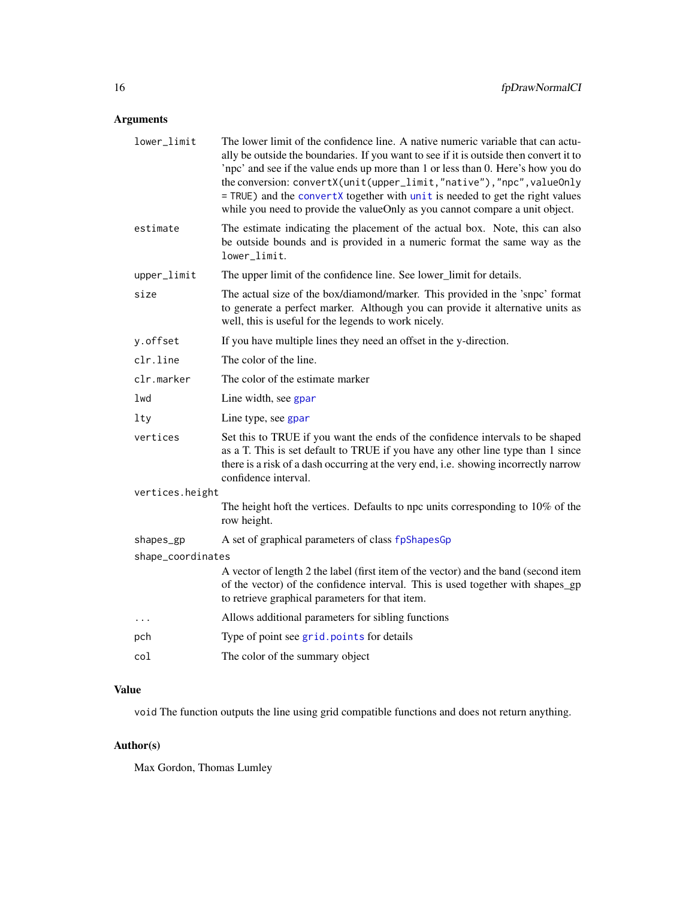# <span id="page-15-0"></span>Arguments

| lower_limit       | The lower limit of the confidence line. A native numeric variable that can actu-<br>ally be outside the boundaries. If you want to see if it is outside then convert it to<br>'npc' and see if the value ends up more than 1 or less than 0. Here's how you do<br>the conversion: convertX(unit(upper_limit,"native"),"npc", valueOnly<br>= TRUE) and the convertX together with unit is needed to get the right values<br>while you need to provide the valueOnly as you cannot compare a unit object. |
|-------------------|---------------------------------------------------------------------------------------------------------------------------------------------------------------------------------------------------------------------------------------------------------------------------------------------------------------------------------------------------------------------------------------------------------------------------------------------------------------------------------------------------------|
| estimate          | The estimate indicating the placement of the actual box. Note, this can also<br>be outside bounds and is provided in a numeric format the same way as the<br>lower_limit.                                                                                                                                                                                                                                                                                                                               |
| upper_limit       | The upper limit of the confidence line. See lower_limit for details.                                                                                                                                                                                                                                                                                                                                                                                                                                    |
| size              | The actual size of the box/diamond/marker. This provided in the 'snpc' format<br>to generate a perfect marker. Although you can provide it alternative units as<br>well, this is useful for the legends to work nicely.                                                                                                                                                                                                                                                                                 |
| y.offset          | If you have multiple lines they need an offset in the y-direction.                                                                                                                                                                                                                                                                                                                                                                                                                                      |
| clr.line          | The color of the line.                                                                                                                                                                                                                                                                                                                                                                                                                                                                                  |
| clr.marker        | The color of the estimate marker                                                                                                                                                                                                                                                                                                                                                                                                                                                                        |
| lwd               | Line width, see gpar                                                                                                                                                                                                                                                                                                                                                                                                                                                                                    |
| lty               | Line type, see gpar                                                                                                                                                                                                                                                                                                                                                                                                                                                                                     |
| vertices          | Set this to TRUE if you want the ends of the confidence intervals to be shaped<br>as a T. This is set default to TRUE if you have any other line type than 1 since<br>there is a risk of a dash occurring at the very end, i.e. showing incorrectly narrow<br>confidence interval.                                                                                                                                                                                                                      |
| vertices.height   |                                                                                                                                                                                                                                                                                                                                                                                                                                                                                                         |
|                   | The height hoft the vertices. Defaults to npc units corresponding to 10% of the<br>row height.                                                                                                                                                                                                                                                                                                                                                                                                          |
| shapes_gp         | A set of graphical parameters of class fpShapesGp                                                                                                                                                                                                                                                                                                                                                                                                                                                       |
| shape_coordinates |                                                                                                                                                                                                                                                                                                                                                                                                                                                                                                         |
|                   | A vector of length 2 the label (first item of the vector) and the band (second item<br>of the vector) of the confidence interval. This is used together with shapes_gp<br>to retrieve graphical parameters for that item.                                                                                                                                                                                                                                                                               |
| $\cdots$          | Allows additional parameters for sibling functions                                                                                                                                                                                                                                                                                                                                                                                                                                                      |
| pch               | Type of point see grid. points for details                                                                                                                                                                                                                                                                                                                                                                                                                                                              |
| col               | The color of the summary object                                                                                                                                                                                                                                                                                                                                                                                                                                                                         |
|                   |                                                                                                                                                                                                                                                                                                                                                                                                                                                                                                         |

# Value

void The function outputs the line using grid compatible functions and does not return anything.

# Author(s)

Max Gordon, Thomas Lumley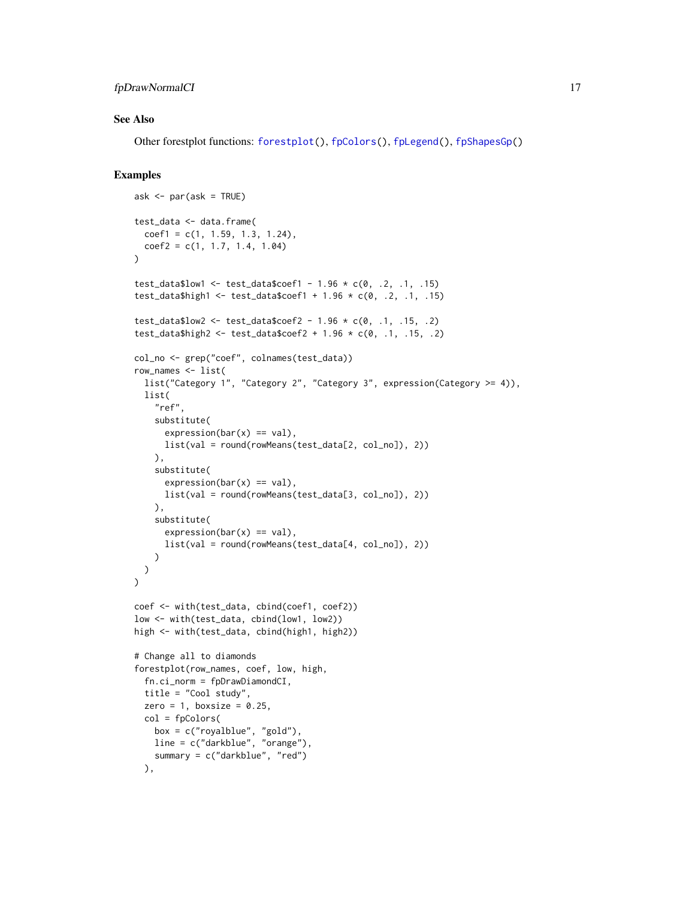# <span id="page-16-0"></span>fpDrawNormalCI 17

### See Also

Other forestplot functions: [forestplot\(](#page-3-1)), [fpColors\(](#page-10-1)), [fpLegend\(](#page-18-1)), [fpShapesGp\(](#page-19-1))

### Examples

```
ask \leq par(ask = TRUE)
test_data <- data.frame(
  coef1 = c(1, 1.59, 1.3, 1.24),coef2 = c(1, 1.7, 1.4, 1.04))
test_data$low1 <- test_data$coef1 - 1.96 \times c(0, .2, .1, .15)test_data$high1 <- test_data$coef1 + 1.96 * c(0, .2, .1, .15)
test_data$low2 <- test_data$coef2 - 1.96 \times c(0, .1, .15, .2)test_data$high2 <- test_data$coef2 + 1.96 * c(0, .1, .15, .2)
col_no <- grep("coef", colnames(test_data))
row_names <- list(
  list("Category 1", "Category 2", "Category 3", expression(Category >= 4)),
 list(
    "ref",
   substitute(
      expression(bar(x) == val),
      list(val = round(rowMeans(test_data[2, col_no]), 2))
   ),
    substitute(
      expression(bar(x) == val),
      list(val = round(rowMeans(test_data[3, col_no]), 2))
   ),
    substitute(
      expression(bar(x) == val),
      list(val = round(rowMeans(test_data[4, col_no]), 2))
   )
 )
\mathcal{L}coef <- with(test_data, cbind(coef1, coef2))
low <- with(test_data, cbind(low1, low2))
high <- with(test_data, cbind(high1, high2))
# Change all to diamonds
forestplot(row_names, coef, low, high,
  fn.ci_norm = fpDrawDiamondCI,
  title = "Cool study",
  zero = 1, boxsize = 0.25,
  col = fpColors(
   box = c("royalblue", "gold"),
   line = c("darkblue", "orange"),
   summary = c("darkblue", "red")
  ),
```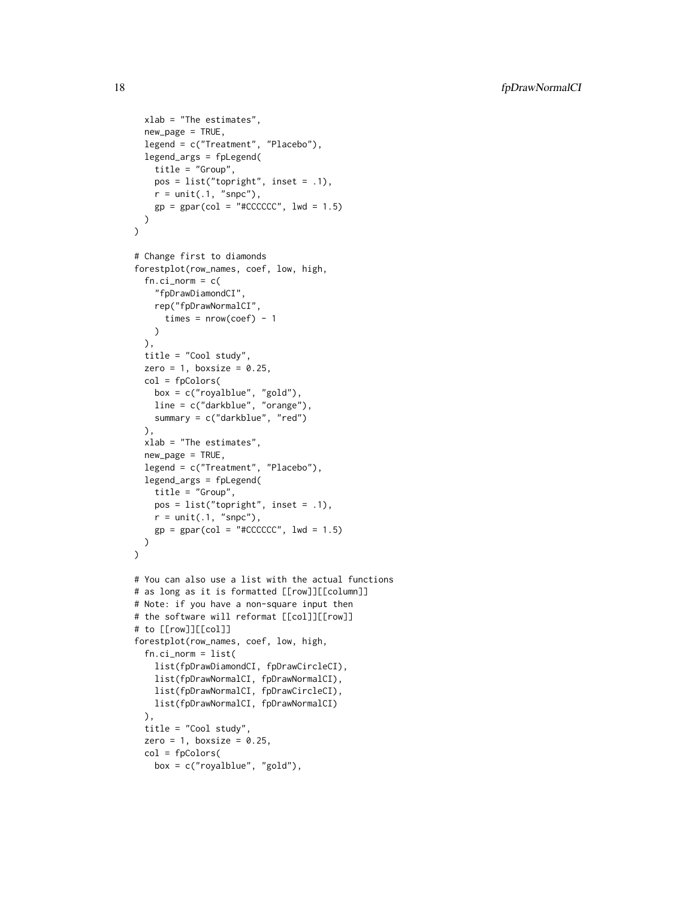```
xlab = "The estimates",
  new_page = TRUE,
  legend = c("Treatment", "Placebo"),
  legend_args = fpLegend(
   title = "Group",
   pos = list("topright", inset = .1),
   r = unit(.1, "snpc"),gp = gpar(col = "#CCCCCC", lwd = 1.5)\lambda\lambda# Change first to diamonds
forestplot(row_names, coef, low, high,
  fn.ci\_norm = c("fpDrawDiamondCI",
   rep("fpDrawNormalCI",
      times = nrow(coef) - 1)
  ),
  title = "Cool study",
  zero = 1, boxsize = 0.25,
  col = fpColors(
   box = c("royalblue", "gold"),
   line = c("darkblue", "orange"),
   summary = c("darkblue", "red")
  ),
  xlab = "The estimates",
  new_page = TRUE,
  legend = c("Treatment", "Placebo"),
  legend_args = fpLegend(
   title = "Group",
   pos = list("topright", inset = .1),
   r = unit(.1, "snpc"),gp = gpar(col = "#CCCCCC", lwd = 1.5)\lambda\mathcal{L}# You can also use a list with the actual functions
# as long as it is formatted [[row]][[column]]
# Note: if you have a non-square input then
# the software will reformat [[col]][[row]]
# to [[row]][[col]]
forestplot(row_names, coef, low, high,
  fn.ci_norm = list(
    list(fpDrawDiamondCI, fpDrawCircleCI),
    list(fpDrawNormalCI, fpDrawNormalCI),
    list(fpDrawNormalCI, fpDrawCircleCI),
   list(fpDrawNormalCI, fpDrawNormalCI)
  ),
  title = "Cool study",
  zero = 1, boxsize = 0.25,
  col = fpColors(
   box = c("royalblue", "gold"),
```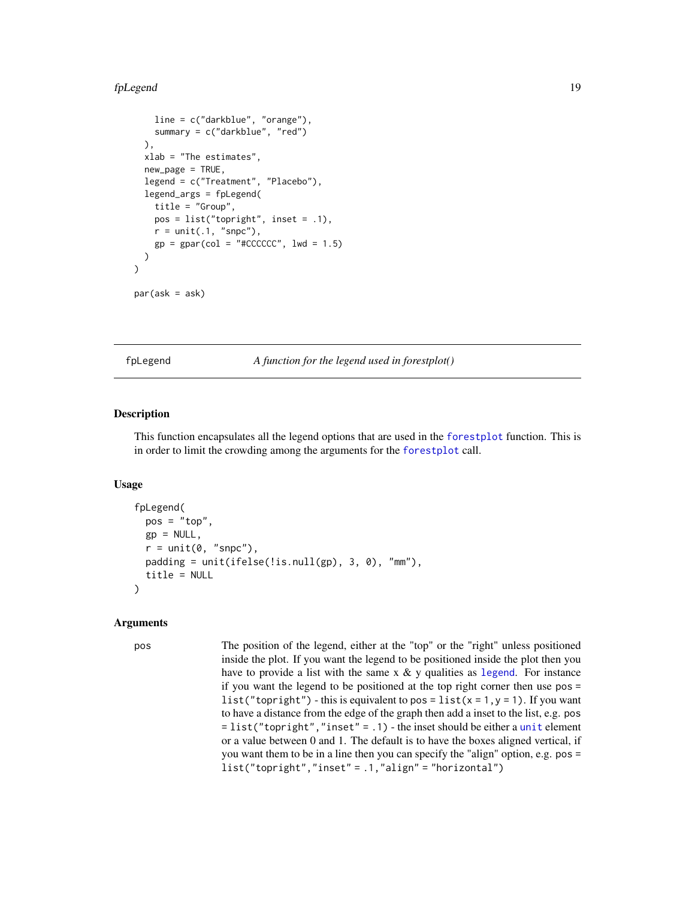#### <span id="page-18-0"></span>fpLegend 19

```
line = c("darkblue", "orange"),
    summary = c("darkblue", "red")
 ),
 xlab = "The estimates",
 new_page = TRUE,
 legend = c("Treatment", "Placebo"),
 legend_args = fpLegend(
    title = "Group",
   pos = list("topright", inset = .1),
   r = unit(.1, "snpc"),gp = gpar(col = "#CCCCCC", lwd = 1.5))
\mathcal{L}
```
par(ask = ask)

<span id="page-18-1"></span>fpLegend *A function for the legend used in forestplot()*

#### Description

This function encapsulates all the legend options that are used in the [forestplot](#page-3-1) function. This is in order to limit the crowding among the arguments for the [forestplot](#page-3-1) call.

#### Usage

```
fpLegend(
 pos = "top",gp = NULL,r = unit(0, "s npc"),padding = unit(ifelse(!is.null(gp), 3, 0), "mm"),
  title = NULL
)
```
#### Arguments

pos The position of the legend, either at the "top" or the "right" unless positioned inside the plot. If you want the legend to be positioned inside the plot then you have to provide a list with the same  $x \& y$  qualities as [legend](#page-0-0). For instance if you want the legend to be positioned at the top right corner then use pos = list("topright") - this is equivalent to pos = list( $x = 1, y = 1$ ). If you want to have a distance from the edge of the graph then add a inset to the list, e.g. pos  $=$  list("topright","inset" = .1) - the inset should be either a [unit](#page-0-0) element or a value between 0 and 1. The default is to have the boxes aligned vertical, if you want them to be in a line then you can specify the "align" option, e.g. pos = list("topright","inset" = .1,"align" = "horizontal")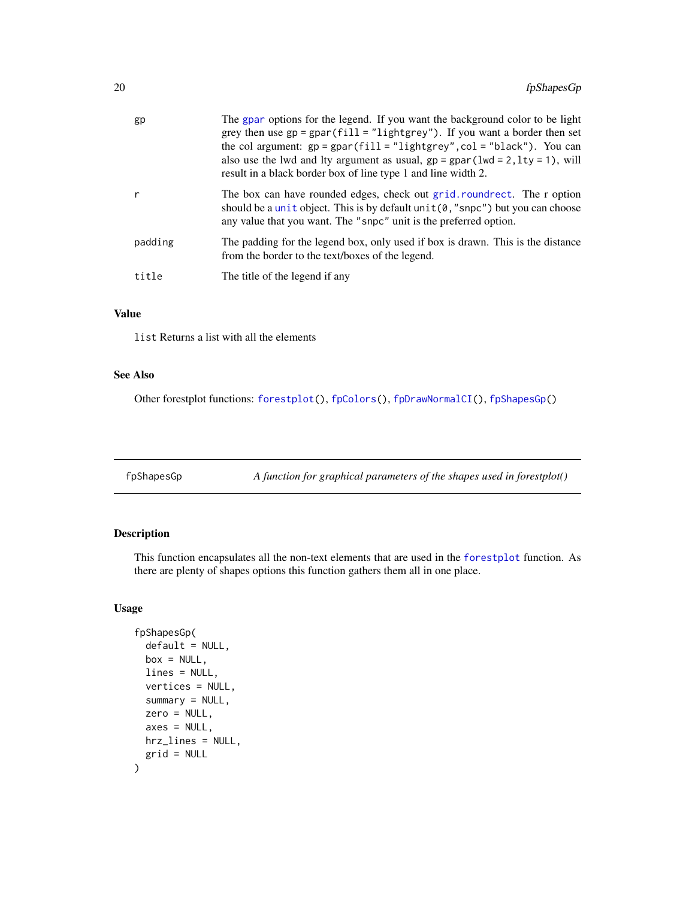<span id="page-19-0"></span>

| gp      | The gpar options for the legend. If you want the background color to be light<br>grey then use $gp = gpar(fill = "lightgrey")$ . If you want a border then set<br>the col argument: $gp = gpar(fill = "lightgrey", col = "black").$ You can<br>also use the lwd and lty argument as usual, $gp = gpar(lwd = 2, lty = 1)$ , will<br>result in a black border box of line type 1 and line width 2. |
|---------|--------------------------------------------------------------------------------------------------------------------------------------------------------------------------------------------------------------------------------------------------------------------------------------------------------------------------------------------------------------------------------------------------|
|         | The box can have rounded edges, check out grid.roundrect. The r option<br>should be a unit object. This is by default unit $(0, "s\n$ g npc" ) but you can choose<br>any value that you want. The "snpc" unit is the preferred option.                                                                                                                                                           |
| padding | The padding for the legend box, only used if box is drawn. This is the distance<br>from the border to the text/boxes of the legend.                                                                                                                                                                                                                                                              |
| title   | The title of the legend if any                                                                                                                                                                                                                                                                                                                                                                   |

# Value

list Returns a list with all the elements

# See Also

Other forestplot functions: [forestplot\(](#page-3-1)), [fpColors\(](#page-10-1)), [fpDrawNormalCI\(](#page-12-1)), [fpShapesGp\(](#page-19-1))

<span id="page-19-1"></span>fpShapesGp *A function for graphical parameters of the shapes used in forestplot()*

# Description

This function encapsulates all the non-text elements that are used in the [forestplot](#page-3-1) function. As there are plenty of shapes options this function gathers them all in one place.

#### Usage

```
fpShapesGp(
  default = NULL,box = NULL,lines = NULL,
  vertices = NULL,
  summarv = NULL,
  zero = NULL,
  axes = NULL,hrz_lines = NULL,
  grid = NULL
\mathcal{E}
```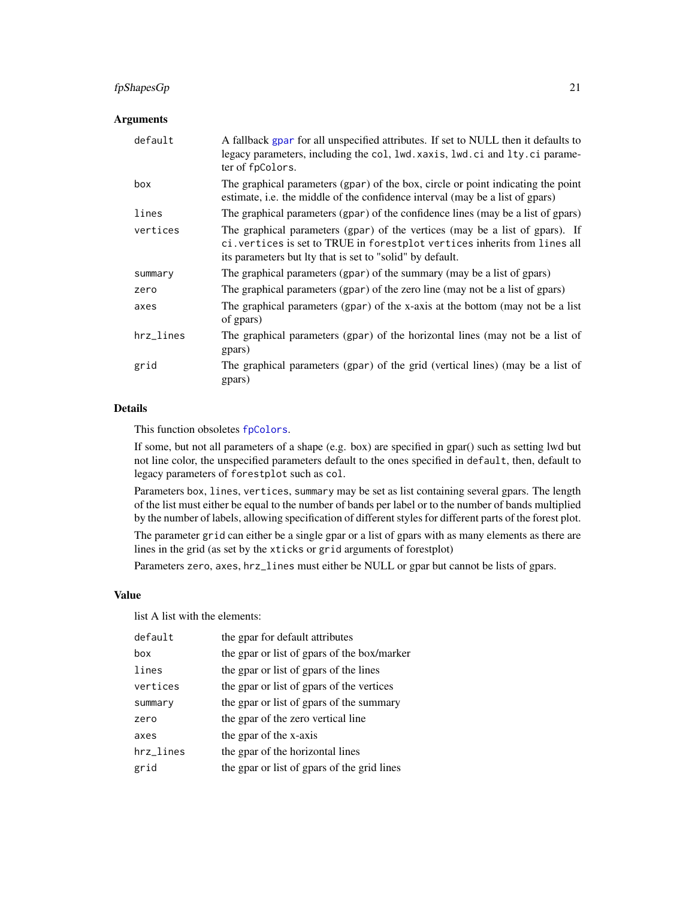# fpShapesGp 21

# Arguments

| default   | A fallback gpar for all unspecified attributes. If set to NULL then it defaults to<br>legacy parameters, including the col, lwd. xaxis, lwd. ci and lty. ci parame-<br>ter of fpColors.                                 |
|-----------|-------------------------------------------------------------------------------------------------------------------------------------------------------------------------------------------------------------------------|
| box       | The graphical parameters (gpar) of the box, circle or point indicating the point<br>estimate, i.e. the middle of the confidence interval (may be a list of gpars)                                                       |
| lines     | The graphical parameters (gpar) of the confidence lines (may be a list of gpars)                                                                                                                                        |
| vertices  | The graphical parameters (gpar) of the vertices (may be a list of gpars). If<br>ci. vertices is set to TRUE in forestplot vertices inherits from lines all<br>its parameters but Ity that is set to "solid" by default. |
| summary   | The graphical parameters (gpar) of the summary (may be a list of gpars)                                                                                                                                                 |
| zero      | The graphical parameters (gpar) of the zero line (may not be a list of gpars)                                                                                                                                           |
| axes      | The graphical parameters (gpar) of the x-axis at the bottom (may not be a list<br>of gpars)                                                                                                                             |
| hrz_lines | The graphical parameters (gpar) of the horizontal lines (may not be a list of<br>gpars)                                                                                                                                 |
| grid      | The graphical parameters (gpar) of the grid (vertical lines) (may be a list of<br>gpars)                                                                                                                                |

# Details

This function obsoletes [fpColors](#page-10-1).

If some, but not all parameters of a shape (e.g. box) are specified in gpar() such as setting lwd but not line color, the unspecified parameters default to the ones specified in default, then, default to legacy parameters of forestplot such as col.

Parameters box, lines, vertices, summary may be set as list containing several gpars. The length of the list must either be equal to the number of bands per label or to the number of bands multiplied by the number of labels, allowing specification of different styles for different parts of the forest plot.

The parameter grid can either be a single gpar or a list of gpars with as many elements as there are lines in the grid (as set by the xticks or grid arguments of forestplot)

Parameters zero, axes, hrz\_lines must either be NULL or gpar but cannot be lists of gpars.

# Value

list A list with the elements:

| default   | the gpar for default attributes             |
|-----------|---------------------------------------------|
| box       | the gpar or list of gpars of the box/marker |
| lines     | the gpar or list of gpars of the lines      |
| vertices  | the gpar or list of gpars of the vertices   |
| summary   | the gpar or list of gpars of the summary    |
| zero      | the gpar of the zero vertical line          |
| axes      | the gpar of the x-axis                      |
| hrz_lines | the gpar of the horizontal lines            |
| grid      | the gpar or list of gpars of the grid lines |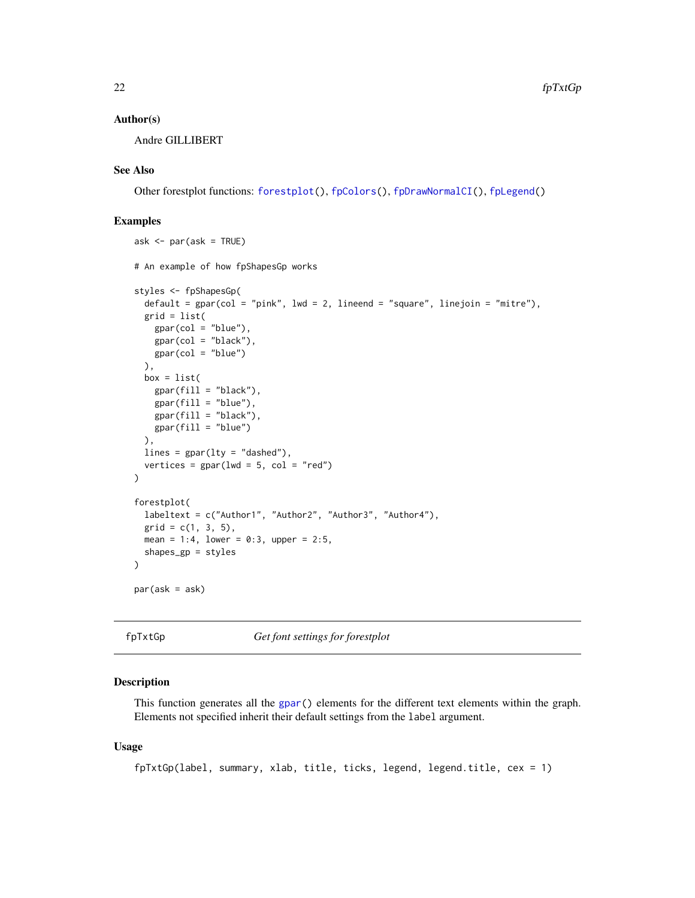#### <span id="page-21-0"></span>Author(s)

Andre GILLIBERT

## See Also

Other forestplot functions: [forestplot\(](#page-3-1)), [fpColors\(](#page-10-1)), [fpDrawNormalCI\(](#page-12-1)), [fpLegend\(](#page-18-1))

# Examples

```
ask <- par(ask = TRUE)
# An example of how fpShapesGp works
styles <- fpShapesGp(
  default = gpar(col = "pink", lwd = 2, lineend = "square", linejoin = "mitre"),
  grid = list(
   gpar(col = "blue"),
   gpar(col = "black"),
   gpar(col = "blue")),
  box = list(gpar(fill = "black"),
   gpar(fill = "blue"),
   gpar(fill = "black"),
   gpar(fill = "blue")),
 lines = gpar(lty = "dashed"),vertices = gpar(lwd = 5, col = "red")\lambdaforestplot(
  labeltext = c("Author1", "Author2", "Author3", "Author4"),
  grid = c(1, 3, 5),mean = 1:4, lower = 0:3, upper = 2:5,
  shapes_gp = styles
)
par(ask = ask)
```
<span id="page-21-1"></span>fpTxtGp *Get font settings for forestplot*

#### Description

This function generates all the [gpar\(](#page-0-0)) elements for the different text elements within the graph. Elements not specified inherit their default settings from the label argument.

#### Usage

fpTxtGp(label, summary, xlab, title, ticks, legend, legend.title, cex = 1)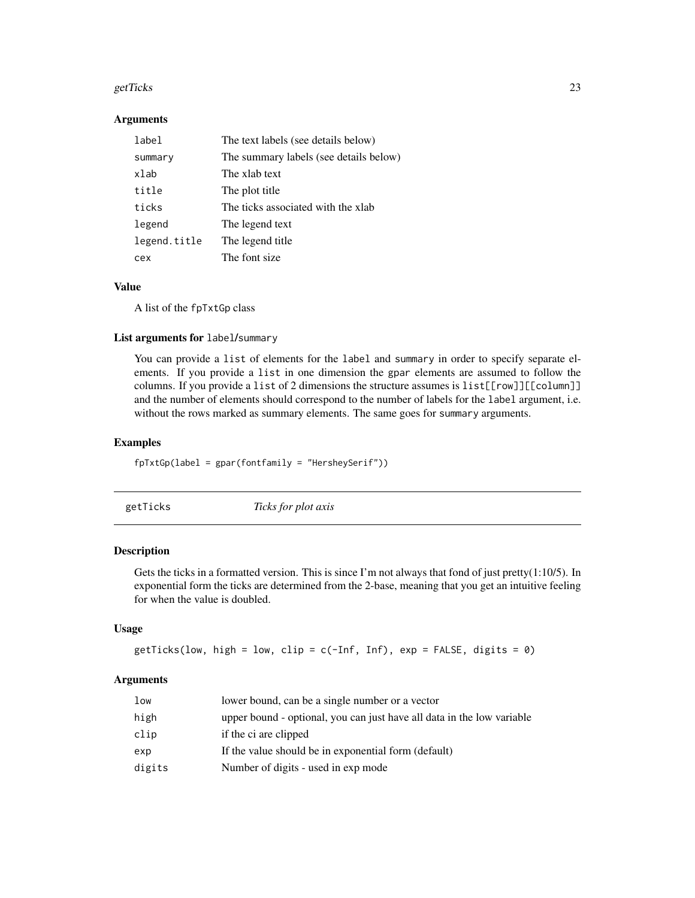#### <span id="page-22-0"></span>getTicks  $\sim$  23

#### Arguments

| label        | The text labels (see details below)    |
|--------------|----------------------------------------|
| summary      | The summary labels (see details below) |
| xlab         | The xlab text                          |
| title        | The plot title                         |
| ticks        | The ticks associated with the xlab     |
| legend       | The legend text                        |
| legend.title | The legend title                       |
| cex          | The font size                          |

# Value

A list of the fpTxtGp class

#### List arguments for label/summary

You can provide a list of elements for the label and summary in order to specify separate elements. If you provide a list in one dimension the gpar elements are assumed to follow the columns. If you provide a list of 2 dimensions the structure assumes is list[[row]][[column]] and the number of elements should correspond to the number of labels for the label argument, i.e. without the rows marked as summary elements. The same goes for summary arguments.

# Examples

```
fpTxtGp(label = gpar(fontfamily = "HersheySerif"))
```
<span id="page-22-1"></span>getTicks *Ticks for plot axis*

# Description

Gets the ticks in a formatted version. This is since I'm not always that fond of just pretty $(1:10/5)$ . In exponential form the ticks are determined from the 2-base, meaning that you get an intuitive feeling for when the value is doubled.

# Usage

getTicks(low, high = low, clip =  $c(-Inf, Inf)$ , exp = FALSE, digits = 0)

# Arguments

| low    | lower bound, can be a single number or a vector                        |
|--------|------------------------------------------------------------------------|
| high   | upper bound - optional, you can just have all data in the low variable |
| clip   | if the ci are clipped                                                  |
| exp    | If the value should be in exponential form (default)                   |
| digits | Number of digits - used in exp mode                                    |
|        |                                                                        |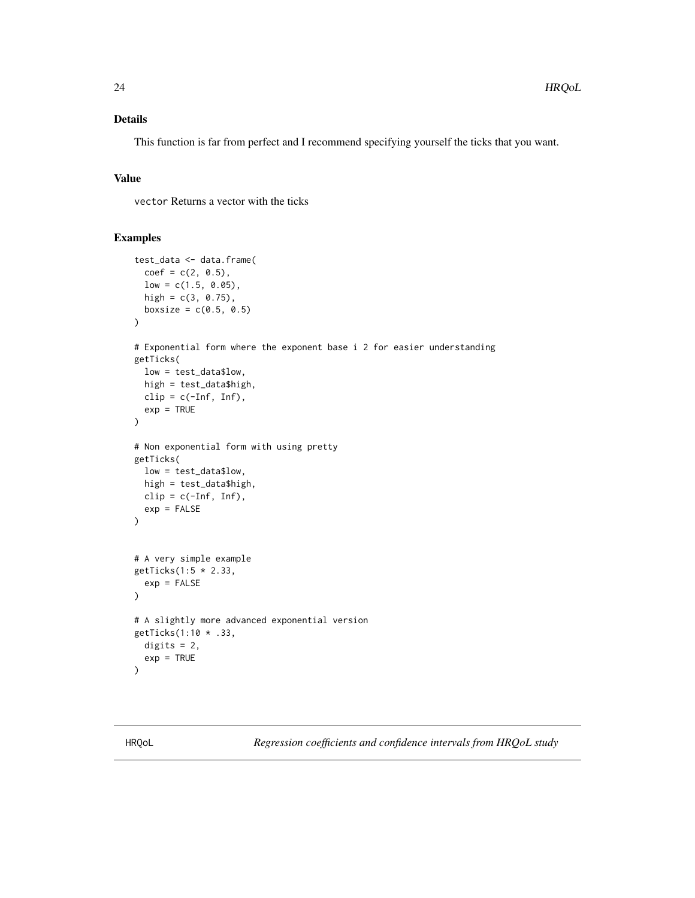# <span id="page-23-0"></span>Details

This function is far from perfect and I recommend specifying yourself the ticks that you want.

# Value

vector Returns a vector with the ticks

# Examples

```
test_data <- data.frame(
  coef = c(2, 0.5),
  low = c(1.5, 0.05),
  high = c(3, 0.75),
  boxsize = c(0.5, 0.5))
# Exponential form where the exponent base i 2 for easier understanding
getTicks(
  low = test_data$low,
  high = test_data$high,
  clip = c(-Inf, Inf),exp = TRUE\mathcal{L}# Non exponential form with using pretty
getTicks(
  low = test_data$low,
  high = test_data$high,
  clip = c(-Inf, Inf),exp = FALSE)
# A very simple example
getTicks(1:5 * 2.33,
  exp = FALSE)
# A slightly more advanced exponential version
getTicks(1:10 * .33,
  digits = 2,
  exp = TRUE)
```
HRQoL *Regression coefficients and confidence intervals from HRQoL study*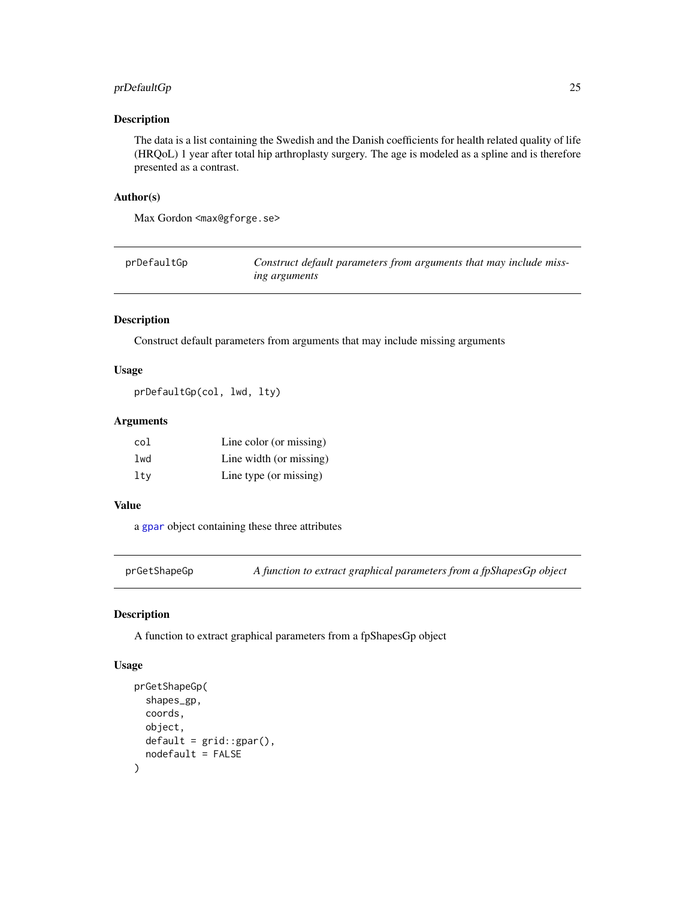# <span id="page-24-0"></span>prDefaultGp 25

# Description

The data is a list containing the Swedish and the Danish coefficients for health related quality of life (HRQoL) 1 year after total hip arthroplasty surgery. The age is modeled as a spline and is therefore presented as a contrast.

#### Author(s)

Max Gordon <max@gforge.se>

| prDefaultGp | Construct default parameters from arguments that may include miss- |
|-------------|--------------------------------------------------------------------|
|             | <i>ing arguments</i>                                               |

# Description

Construct default parameters from arguments that may include missing arguments

# Usage

prDefaultGp(col, lwd, lty)

# Arguments

| col | Line color (or missing) |
|-----|-------------------------|
| lwd | Line width (or missing) |
| ltv | Line type (or missing)  |

# Value

a [gpar](#page-0-0) object containing these three attributes

prGetShapeGp *A function to extract graphical parameters from a fpShapesGp object*

## Description

A function to extract graphical parameters from a fpShapesGp object

#### Usage

```
prGetShapeGp(
  shapes_gp,
  coords,
  object,
  default = grid::gpar(),nodefault = FALSE
)
```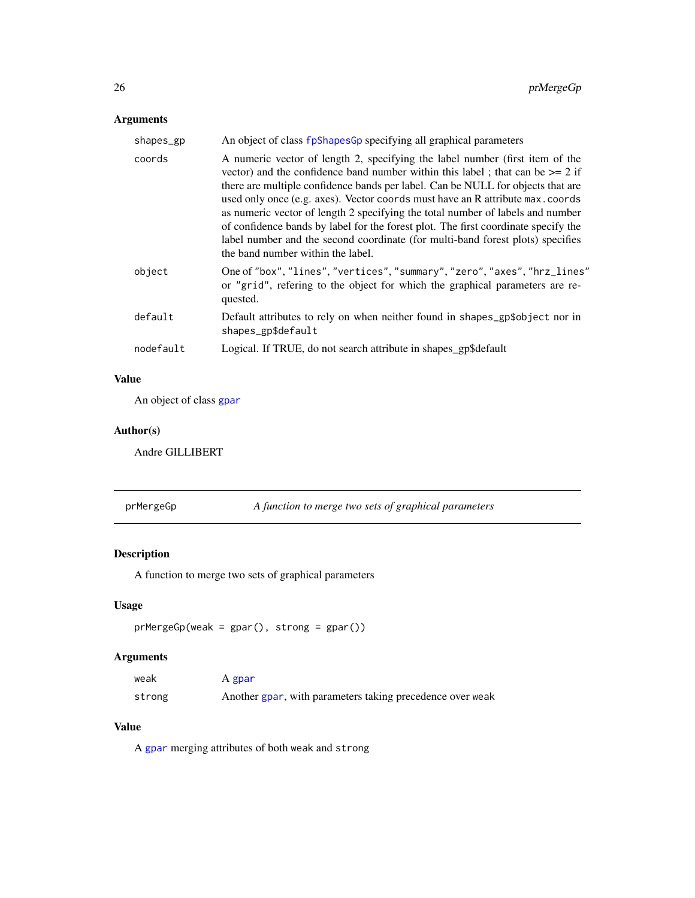# <span id="page-25-0"></span>Arguments

| shapes_gp | An object of class fpShapesGp specifying all graphical parameters                                                                                                                                                                                                                                                                                                                                                                                                                                                                                                                                                                     |
|-----------|---------------------------------------------------------------------------------------------------------------------------------------------------------------------------------------------------------------------------------------------------------------------------------------------------------------------------------------------------------------------------------------------------------------------------------------------------------------------------------------------------------------------------------------------------------------------------------------------------------------------------------------|
| coords    | A numeric vector of length 2, specifying the label number (first item of the<br>vector) and the confidence band number within this label; that can be $\geq$ 2 if<br>there are multiple confidence bands per label. Can be NULL for objects that are<br>used only once (e.g. axes). Vector coords must have an R attribute max. coords<br>as numeric vector of length 2 specifying the total number of labels and number<br>of confidence bands by label for the forest plot. The first coordinate specify the<br>label number and the second coordinate (for multi-band forest plots) specifies<br>the band number within the label. |
| object    | One of "box", "lines", "vertices", "summary", "zero", "axes", "hrz_lines"<br>or "grid", refering to the object for which the graphical parameters are re-<br>quested.                                                                                                                                                                                                                                                                                                                                                                                                                                                                 |
| default   | Default attributes to rely on when neither found in shapes_gp\$object nor in<br>shapes_gp\$default                                                                                                                                                                                                                                                                                                                                                                                                                                                                                                                                    |
| nodefault | Logical. If TRUE, do not search attribute in shapes_gp\$default                                                                                                                                                                                                                                                                                                                                                                                                                                                                                                                                                                       |
|           |                                                                                                                                                                                                                                                                                                                                                                                                                                                                                                                                                                                                                                       |

# Value

An object of class [gpar](#page-0-0)

# Author(s)

Andre GILLIBERT

prMergeGp *A function to merge two sets of graphical parameters*

# Description

A function to merge two sets of graphical parameters

# Usage

```
prMergeGp(weak = gpar(), strong = gpar())
```
# Arguments

| weak   | A gpar                                                    |
|--------|-----------------------------------------------------------|
| strong | Another gpar, with parameters taking precedence over weak |

# Value

A [gpar](#page-0-0) merging attributes of both weak and strong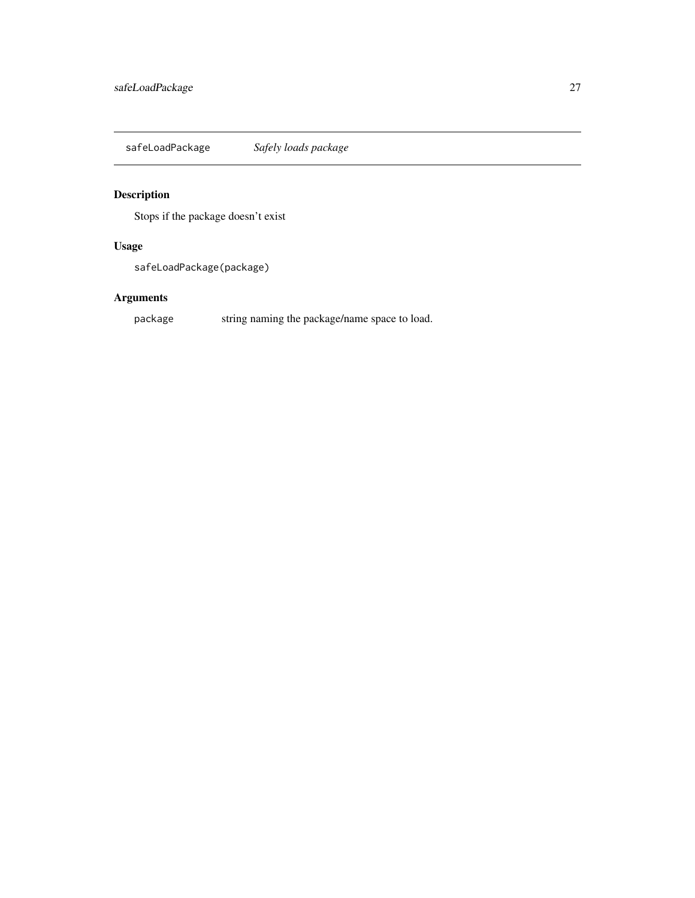<span id="page-26-0"></span>safeLoadPackage *Safely loads package*

# Description

Stops if the package doesn't exist

# Usage

safeLoadPackage(package)

# Arguments

package string naming the package/name space to load.